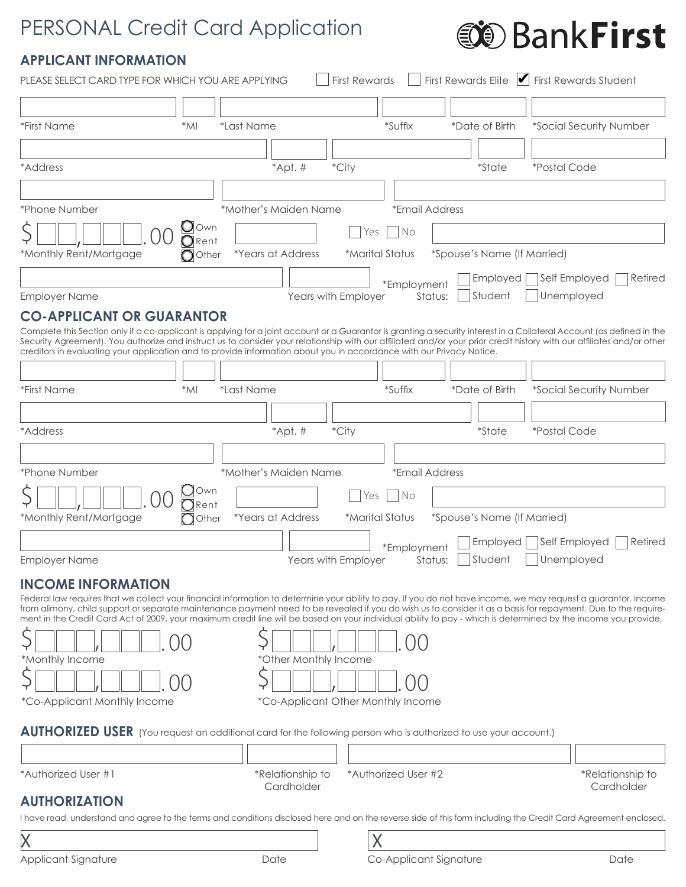## PERSONAL Credit Card Application

## **@DBankFirst**

## **APPLICANT INFORMATION**

| PLEASE SELECT CARD TYPE FOR WHICH YOU ARE APPLYING                                                                                                                                                                                                                                                                                                                                                                                                                                                  |                          | <b>First Rewards</b>                 |                        |                             | First Rewards Elite <b>V</b> First Rewards Student |                  |
|-----------------------------------------------------------------------------------------------------------------------------------------------------------------------------------------------------------------------------------------------------------------------------------------------------------------------------------------------------------------------------------------------------------------------------------------------------------------------------------------------------|--------------------------|--------------------------------------|------------------------|-----------------------------|----------------------------------------------------|------------------|
| <i>*First Name</i><br>$*$ MI                                                                                                                                                                                                                                                                                                                                                                                                                                                                        | *Last Name               | *Suffix                              |                        | *Date of Birth              | *Social Security Number                            |                  |
|                                                                                                                                                                                                                                                                                                                                                                                                                                                                                                     |                          |                                      |                        |                             |                                                    |                  |
| *Address                                                                                                                                                                                                                                                                                                                                                                                                                                                                                            | $*$ Apt. #               | *City                                |                        | <i>*State</i>               | *Postal Code                                       |                  |
|                                                                                                                                                                                                                                                                                                                                                                                                                                                                                                     |                          |                                      |                        |                             |                                                    |                  |
| *Phone Number                                                                                                                                                                                                                                                                                                                                                                                                                                                                                       | *Mother's Maiden Name    |                                      | *Email Address         |                             |                                                    |                  |
| 0 Own<br>$\bigcirc$ Rent                                                                                                                                                                                                                                                                                                                                                                                                                                                                            |                          | Yes                                  | ∣No                    |                             |                                                    |                  |
| *Monthly Rent/Mortgage<br>$\bigcirc$ Other                                                                                                                                                                                                                                                                                                                                                                                                                                                          | <i>*Years at Address</i> | <i><b>*Marital Status</b></i>        |                        | *Spouse's Name (If Married) |                                                    |                  |
|                                                                                                                                                                                                                                                                                                                                                                                                                                                                                                     |                          |                                      | *Employment            | Employed                    | Self Employed                                      | Retired          |
| Employer Name                                                                                                                                                                                                                                                                                                                                                                                                                                                                                       |                          | Years with Employer                  | Status:                | Student                     | Unemployed                                         |                  |
| <b>CO-APPLICANT OR GUARANTOR</b>                                                                                                                                                                                                                                                                                                                                                                                                                                                                    |                          |                                      |                        |                             |                                                    |                  |
| Complete this Section only if a co-applicant is applying for a joint account or a Guarantor is granting a security interest in a Collateral Account (as defined in the<br>Security Agreement). You authorize and instruct us to consider your relationship with our affiliated and/or your prior credit history with our affiliates and/or other<br>creditors in evaluating your application and to provide information about you in accordance with our Privacy Notice.                            |                          |                                      |                        |                             |                                                    |                  |
|                                                                                                                                                                                                                                                                                                                                                                                                                                                                                                     |                          |                                      |                        |                             |                                                    |                  |
| <i>*First Name</i><br>$*$ MI                                                                                                                                                                                                                                                                                                                                                                                                                                                                        | *Last Name               | *Suffix                              |                        | *Date of Birth              | *Social Security Number                            |                  |
|                                                                                                                                                                                                                                                                                                                                                                                                                                                                                                     |                          |                                      |                        |                             |                                                    |                  |
| *Address                                                                                                                                                                                                                                                                                                                                                                                                                                                                                            | $*$ Apt. #               | *City                                |                        | <i>*State</i>               | <i>*Postal</i> Code                                |                  |
|                                                                                                                                                                                                                                                                                                                                                                                                                                                                                                     |                          |                                      |                        |                             |                                                    |                  |
| *Phone Number                                                                                                                                                                                                                                                                                                                                                                                                                                                                                       | *Mother's Maiden Name    |                                      | *Email Address         |                             |                                                    |                  |
| Own<br>Rent<br>*Monthly Rent/Mortgage<br>Other                                                                                                                                                                                                                                                                                                                                                                                                                                                      | *Years at Address        | Yes<br><i><b>*Marital Status</b></i> | l No                   | *Spouse's Name (If Married) |                                                    |                  |
|                                                                                                                                                                                                                                                                                                                                                                                                                                                                                                     |                          |                                      |                        | Employed                    | Self Employed                                      | Retired          |
| <b>Employer Name</b>                                                                                                                                                                                                                                                                                                                                                                                                                                                                                |                          | Years with Employer                  | *Employment<br>Status: | Student                     | Unemployed                                         |                  |
| <b>INCOME INFORMATION</b>                                                                                                                                                                                                                                                                                                                                                                                                                                                                           |                          |                                      |                        |                             |                                                    |                  |
| Federal law requires that we collect your financial information to determine your ability to pay. If you do not have income, we may request a guarantor. Income<br>from alimony, child support or separate maintenance payment need to be revealed if you do wish us to consider it as a basis for repayment. Due to the require-<br>ment in the Credit Card Act of 2009, your maximum credit line will be based on your individual ability to pay - which is determined by the income you provide. |                          |                                      |                        |                             |                                                    |                  |
| *Monthly Income                                                                                                                                                                                                                                                                                                                                                                                                                                                                                     | *Other Monthly Income    |                                      |                        |                             |                                                    |                  |
|                                                                                                                                                                                                                                                                                                                                                                                                                                                                                                     |                          |                                      |                        |                             |                                                    |                  |
| *Co-Applicant Monthly Income                                                                                                                                                                                                                                                                                                                                                                                                                                                                        |                          | *Co-Applicant Other Monthly Income   |                        |                             |                                                    |                  |
| AUTHORIZED USER (You request an additional card for the following person who is authorized to use your account.)                                                                                                                                                                                                                                                                                                                                                                                    |                          |                                      |                        |                             |                                                    |                  |
|                                                                                                                                                                                                                                                                                                                                                                                                                                                                                                     |                          |                                      |                        |                             |                                                    |                  |
| *Authorized User #1                                                                                                                                                                                                                                                                                                                                                                                                                                                                                 | *Relationship to         | *Authorized User #2                  |                        |                             |                                                    | *Relationship to |
| <b>AUTHORIZATION</b><br>I have read, understand and agree to the terms and conditions disclosed here and on the reverse side of this form including the Credit Card Agreement enclosed.                                                                                                                                                                                                                                                                                                             | Cardholder               |                                      |                        |                             |                                                    | Cardholder       |
|                                                                                                                                                                                                                                                                                                                                                                                                                                                                                                     |                          | Χ                                    |                        |                             |                                                    |                  |

Applicant Signature **Date** 

Co-Applicant Signature Date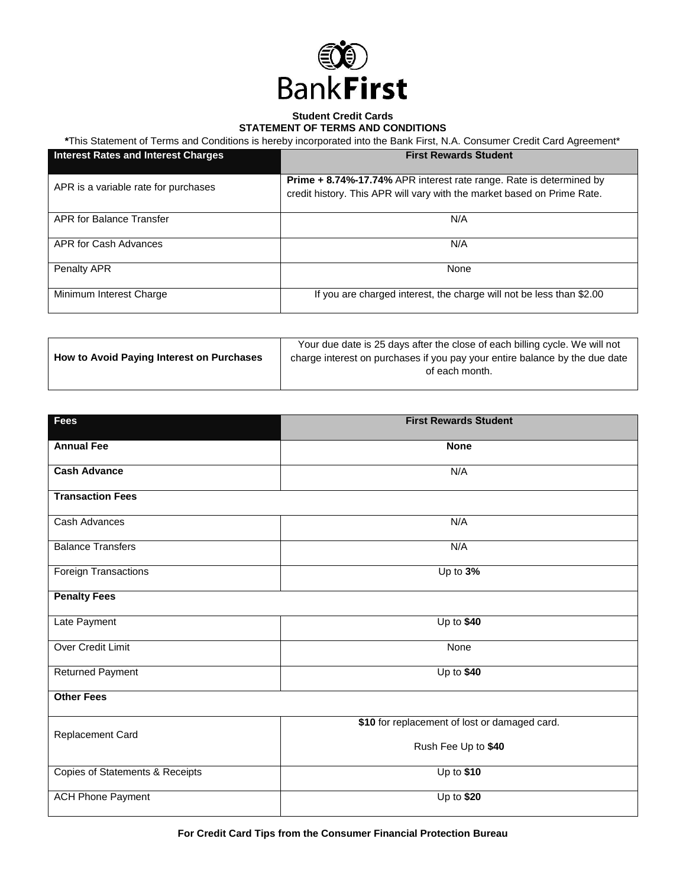

## **Student Credit Cards STATEMENT OF TERMS AND CONDITIONS**

**\***This Statement of Terms and Conditions is hereby incorporated into the Bank First, N.A. Consumer Credit Card Agreement\*

| <b>Interest Rates and Interest Charges</b> | <b>First Rewards Student</b>                                                                                                                          |
|--------------------------------------------|-------------------------------------------------------------------------------------------------------------------------------------------------------|
| APR is a variable rate for purchases       | <b>Prime + 8.74%-17.74%</b> APR interest rate range. Rate is determined by<br>credit history. This APR will vary with the market based on Prime Rate. |
| APR for Balance Transfer                   | N/A                                                                                                                                                   |
| APR for Cash Advances                      | N/A                                                                                                                                                   |
| Penalty APR                                | None                                                                                                                                                  |
| Minimum Interest Charge                    | If you are charged interest, the charge will not be less than \$2.00                                                                                  |

|                                           | Your due date is 25 days after the close of each billing cycle. We will not |
|-------------------------------------------|-----------------------------------------------------------------------------|
| How to Avoid Paying Interest on Purchases | charge interest on purchases if you pay your entire balance by the due date |
|                                           | of each month.                                                              |
|                                           |                                                                             |

| <b>Fees</b>                     | <b>First Rewards Student</b>                  |  |
|---------------------------------|-----------------------------------------------|--|
| <b>Annual Fee</b>               | <b>None</b>                                   |  |
| <b>Cash Advance</b>             | N/A                                           |  |
| <b>Transaction Fees</b>         |                                               |  |
| Cash Advances                   | N/A                                           |  |
| <b>Balance Transfers</b>        | N/A                                           |  |
| <b>Foreign Transactions</b>     | Up to 3%                                      |  |
| <b>Penalty Fees</b>             |                                               |  |
| Late Payment                    | Up to \$40                                    |  |
| <b>Over Credit Limit</b>        | None                                          |  |
| <b>Returned Payment</b>         | Up to $$40$                                   |  |
| <b>Other Fees</b>               |                                               |  |
| Replacement Card                | \$10 for replacement of lost or damaged card. |  |
|                                 | Rush Fee Up to \$40                           |  |
| Copies of Statements & Receipts | $Up$ to \$10                                  |  |
| <b>ACH Phone Payment</b>        | Up to \$20                                    |  |